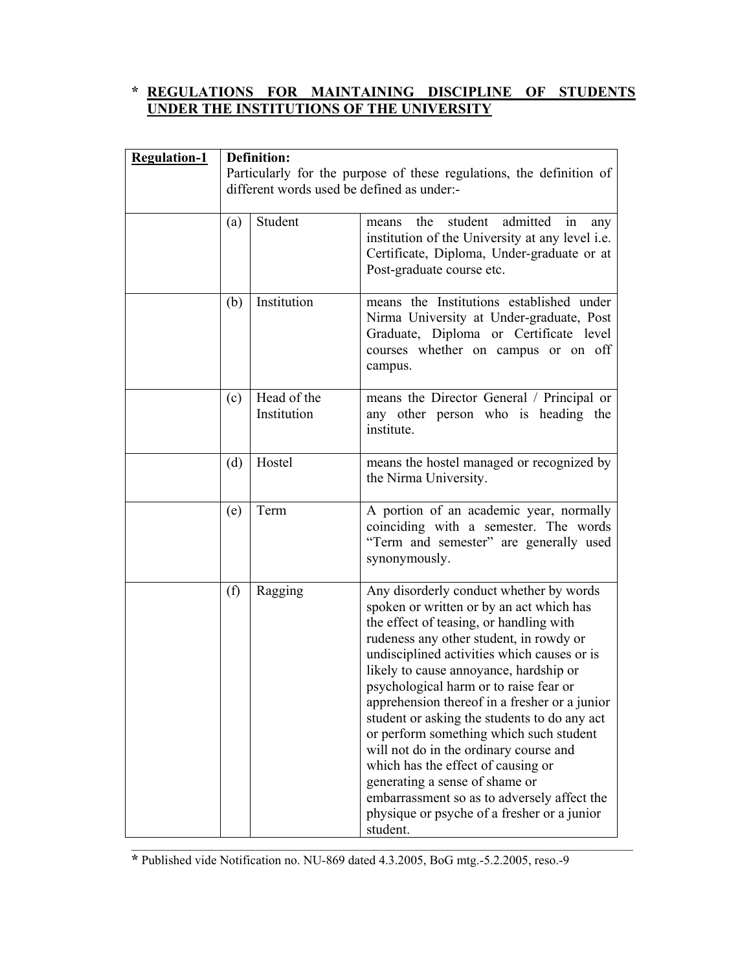# **\* REGULATIONS FOR MAINTAINING DISCIPLINE OF STUDENTS UNDER THE INSTITUTIONS OF THE UNIVERSITY**

| <b>Regulation-1</b> | Definition:<br>Particularly for the purpose of these regulations, the definition of<br>different words used be defined as under:- |                            |                                                                                                                                                                                                                                                                                                                                                                                                                                                                                                                                                                                                                                                                                      |  |
|---------------------|-----------------------------------------------------------------------------------------------------------------------------------|----------------------------|--------------------------------------------------------------------------------------------------------------------------------------------------------------------------------------------------------------------------------------------------------------------------------------------------------------------------------------------------------------------------------------------------------------------------------------------------------------------------------------------------------------------------------------------------------------------------------------------------------------------------------------------------------------------------------------|--|
|                     |                                                                                                                                   |                            |                                                                                                                                                                                                                                                                                                                                                                                                                                                                                                                                                                                                                                                                                      |  |
|                     |                                                                                                                                   |                            |                                                                                                                                                                                                                                                                                                                                                                                                                                                                                                                                                                                                                                                                                      |  |
|                     | (a)                                                                                                                               | Student                    | student<br>admitted<br>the<br>in<br>means<br>any<br>institution of the University at any level <i>i.e.</i><br>Certificate, Diploma, Under-graduate or at<br>Post-graduate course etc.                                                                                                                                                                                                                                                                                                                                                                                                                                                                                                |  |
|                     | (b)                                                                                                                               | Institution                | means the Institutions established under<br>Nirma University at Under-graduate, Post<br>Graduate, Diploma or Certificate level<br>courses whether on campus or on off<br>campus.                                                                                                                                                                                                                                                                                                                                                                                                                                                                                                     |  |
|                     | (c)                                                                                                                               | Head of the<br>Institution | means the Director General / Principal or<br>any other person who is heading the<br>institute.                                                                                                                                                                                                                                                                                                                                                                                                                                                                                                                                                                                       |  |
|                     | (d)                                                                                                                               | Hostel                     | means the hostel managed or recognized by<br>the Nirma University.                                                                                                                                                                                                                                                                                                                                                                                                                                                                                                                                                                                                                   |  |
|                     | (e)                                                                                                                               | Term                       | A portion of an academic year, normally<br>coinciding with a semester. The words<br>"Term and semester" are generally used<br>synonymously.                                                                                                                                                                                                                                                                                                                                                                                                                                                                                                                                          |  |
|                     | (f)                                                                                                                               | Ragging                    | Any disorderly conduct whether by words<br>spoken or written or by an act which has<br>the effect of teasing, or handling with<br>rudeness any other student, in rowdy or<br>undisciplined activities which causes or is<br>likely to cause annoyance, hardship or<br>psychological harm or to raise fear or<br>apprehension thereof in a fresher or a junior<br>student or asking the students to do any act<br>or perform something which such student<br>will not do in the ordinary course and<br>which has the effect of causing or<br>generating a sense of shame or<br>embarrassment so as to adversely affect the<br>physique or psyche of a fresher or a junior<br>student. |  |

**\*** Published vide Notification no. NU-869 dated 4.3.2005, BoG mtg.-5.2.2005, reso.-9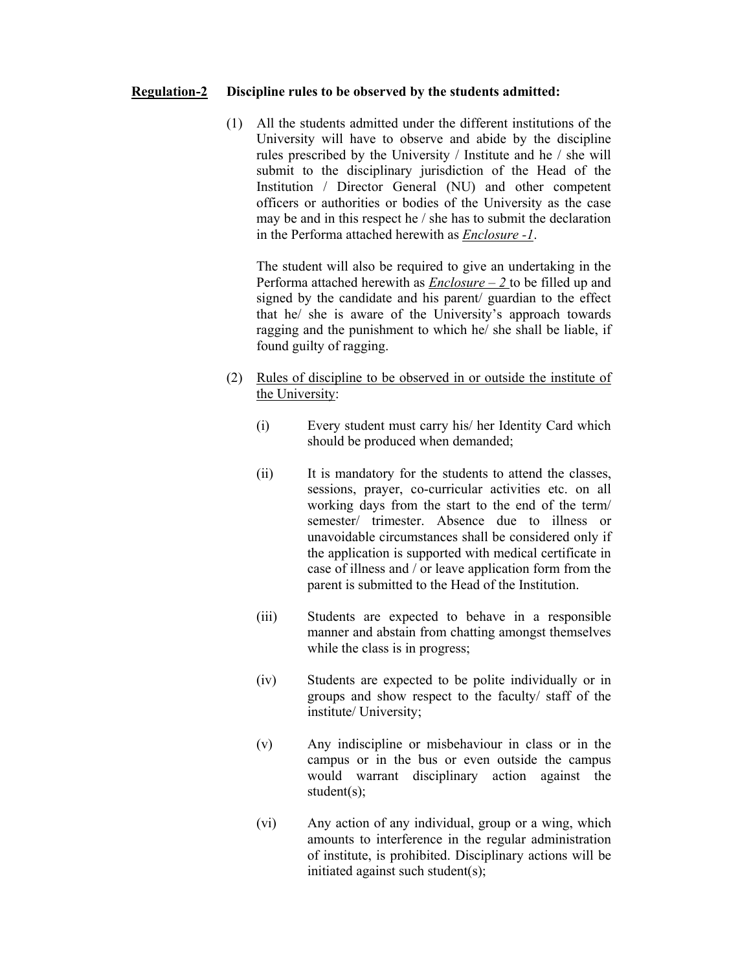### **Regulation-2 Discipline rules to be observed by the students admitted:**

 (1) All the students admitted under the different institutions of the University will have to observe and abide by the discipline rules prescribed by the University / Institute and he / she will submit to the disciplinary jurisdiction of the Head of the Institution / Director General (NU) and other competent officers or authorities or bodies of the University as the case may be and in this respect he / she has to submit the declaration in the Performa attached herewith as *Enclosure -1*.

The student will also be required to give an undertaking in the Performa attached herewith as *Enclosure – 2* to be filled up and signed by the candidate and his parent/ guardian to the effect that he/ she is aware of the University's approach towards ragging and the punishment to which he/ she shall be liable, if found guilty of ragging.

- (2) Rules of discipline to be observed in or outside the institute of the University:
	- (i) Every student must carry his/ her Identity Card which should be produced when demanded;
	- (ii) It is mandatory for the students to attend the classes, sessions, prayer, co-curricular activities etc. on all working days from the start to the end of the term/ semester/ trimester. Absence due to illness or unavoidable circumstances shall be considered only if the application is supported with medical certificate in case of illness and / or leave application form from the parent is submitted to the Head of the Institution.
	- (iii) Students are expected to behave in a responsible manner and abstain from chatting amongst themselves while the class is in progress;
	- (iv) Students are expected to be polite individually or in groups and show respect to the faculty/ staff of the institute/ University;
	- (v) Any indiscipline or misbehaviour in class or in the campus or in the bus or even outside the campus would warrant disciplinary action against the student(s);
	- (vi) Any action of any individual, group or a wing, which amounts to interference in the regular administration of institute, is prohibited. Disciplinary actions will be initiated against such student(s);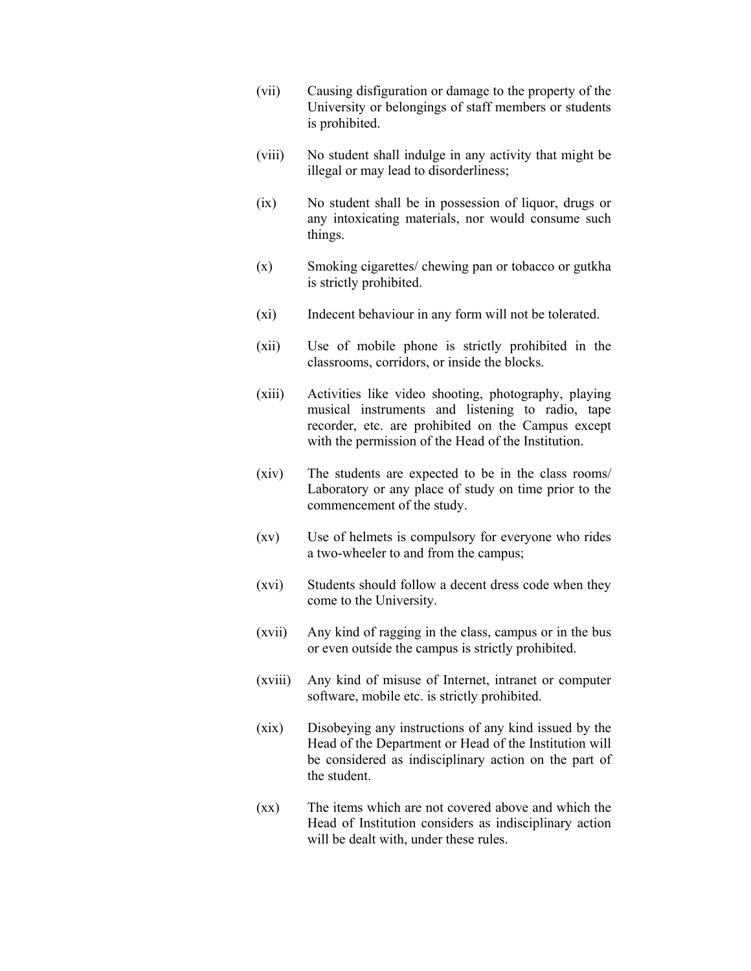- (vii) Causing disfiguration or damage to the property of the University or belongings of staff members or students is prohibited.
- (viii) No student shall indulge in any activity that might be illegal or may lead to disorderliness;
- (ix) No student shall be in possession of liquor, drugs or any intoxicating materials, nor would consume such things.
- (x) Smoking cigarettes/ chewing pan or tobacco or gutkha is strictly prohibited.
- (xi) Indecent behaviour in any form will not be tolerated.
- (xii) Use of mobile phone is strictly prohibited in the classrooms, corridors, or inside the blocks.
- (xiii) Activities like video shooting, photography, playing musical instruments and listening to radio, tape recorder, etc. are prohibited on the Campus except with the permission of the Head of the Institution.
- (xiv) The students are expected to be in the class rooms/ Laboratory or any place of study on time prior to the commencement of the study.
- (xv) Use of helmets is compulsory for everyone who rides a two-wheeler to and from the campus;
- (xvi) Students should follow a decent dress code when they come to the University.
- (xvii) Any kind of ragging in the class, campus or in the bus or even outside the campus is strictly prohibited.
- (xviii) Any kind of misuse of Internet, intranet or computer software, mobile etc. is strictly prohibited.
- (xix) Disobeying any instructions of any kind issued by the Head of the Department or Head of the Institution will be considered as indisciplinary action on the part of the student.
- (xx) The items which are not covered above and which the Head of Institution considers as indisciplinary action will be dealt with, under these rules.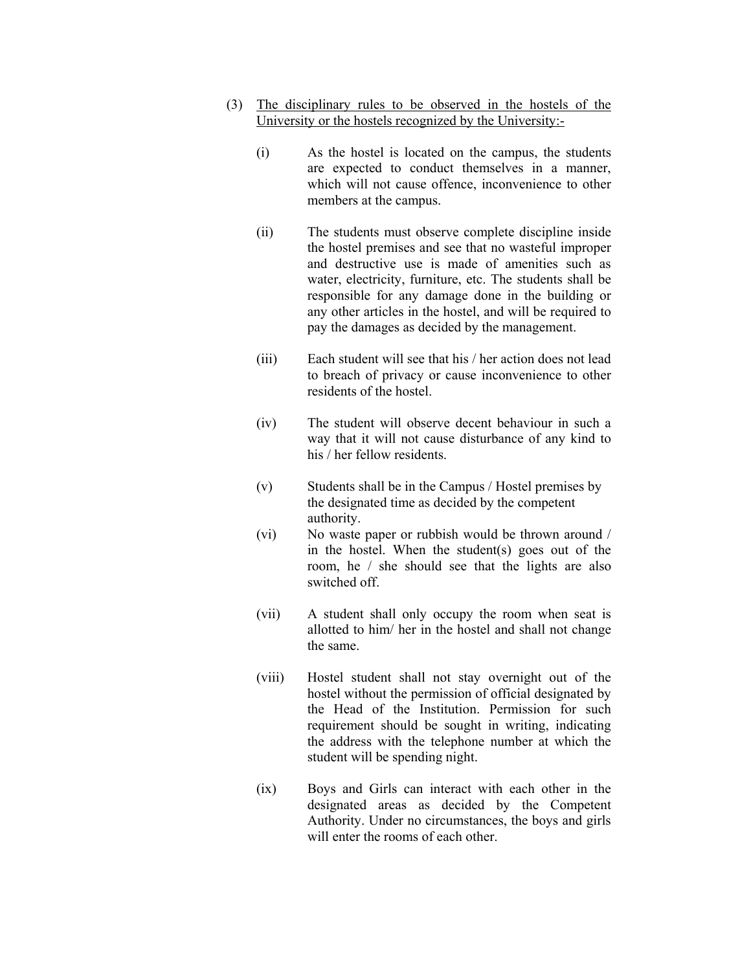- (3) The disciplinary rules to be observed in the hostels of the University or the hostels recognized by the University:-
	- (i) As the hostel is located on the campus, the students are expected to conduct themselves in a manner, which will not cause offence, inconvenience to other members at the campus.
	- (ii) The students must observe complete discipline inside the hostel premises and see that no wasteful improper and destructive use is made of amenities such as water, electricity, furniture, etc. The students shall be responsible for any damage done in the building or any other articles in the hostel, and will be required to pay the damages as decided by the management.
	- (iii) Each student will see that his / her action does not lead to breach of privacy or cause inconvenience to other residents of the hostel.
	- (iv) The student will observe decent behaviour in such a way that it will not cause disturbance of any kind to his / her fellow residents.
	- (v) Students shall be in the Campus / Hostel premises by the designated time as decided by the competent authority.
	- (vi) No waste paper or rubbish would be thrown around / in the hostel. When the student(s) goes out of the room, he / she should see that the lights are also switched off.
	- (vii) A student shall only occupy the room when seat is allotted to him/ her in the hostel and shall not change the same.
	- (viii) Hostel student shall not stay overnight out of the hostel without the permission of official designated by the Head of the Institution. Permission for such requirement should be sought in writing, indicating the address with the telephone number at which the student will be spending night.
	- (ix) Boys and Girls can interact with each other in the designated areas as decided by the Competent Authority. Under no circumstances, the boys and girls will enter the rooms of each other.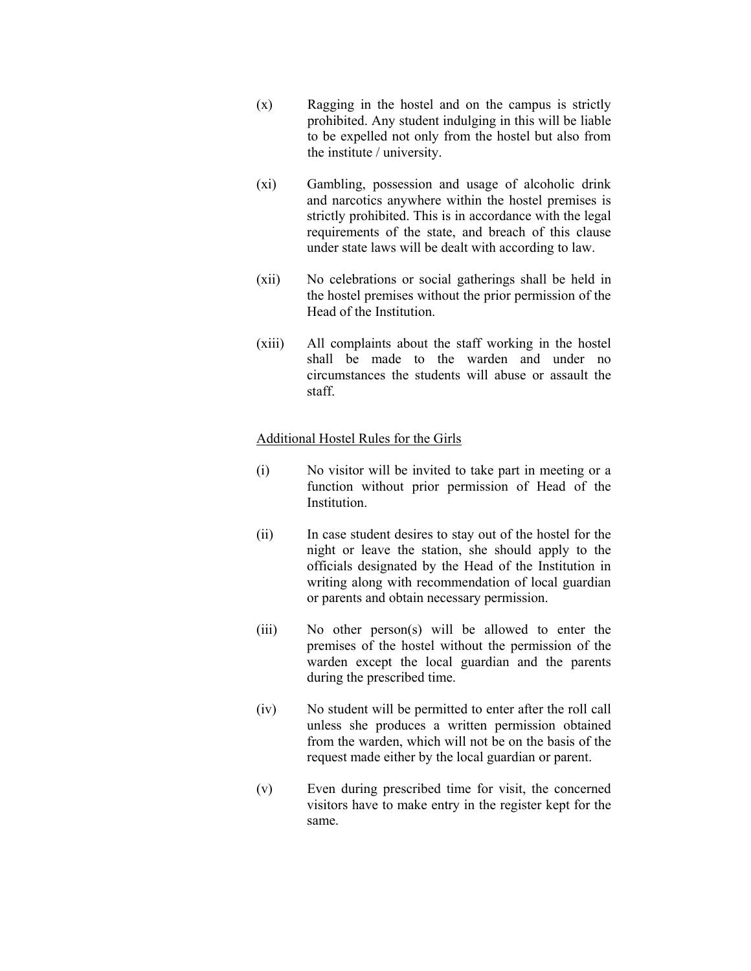- (x) Ragging in the hostel and on the campus is strictly prohibited. Any student indulging in this will be liable to be expelled not only from the hostel but also from the institute / university.
- (xi) Gambling, possession and usage of alcoholic drink and narcotics anywhere within the hostel premises is strictly prohibited. This is in accordance with the legal requirements of the state, and breach of this clause under state laws will be dealt with according to law.
- (xii) No celebrations or social gatherings shall be held in the hostel premises without the prior permission of the Head of the Institution.
- (xiii) All complaints about the staff working in the hostel shall be made to the warden and under no circumstances the students will abuse or assault the staff.

### Additional Hostel Rules for the Girls

- (i) No visitor will be invited to take part in meeting or a function without prior permission of Head of the **Institution**
- (ii) In case student desires to stay out of the hostel for the night or leave the station, she should apply to the officials designated by the Head of the Institution in writing along with recommendation of local guardian or parents and obtain necessary permission.
- (iii) No other person(s) will be allowed to enter the premises of the hostel without the permission of the warden except the local guardian and the parents during the prescribed time.
- (iv) No student will be permitted to enter after the roll call unless she produces a written permission obtained from the warden, which will not be on the basis of the request made either by the local guardian or parent.
- (v) Even during prescribed time for visit, the concerned visitors have to make entry in the register kept for the same.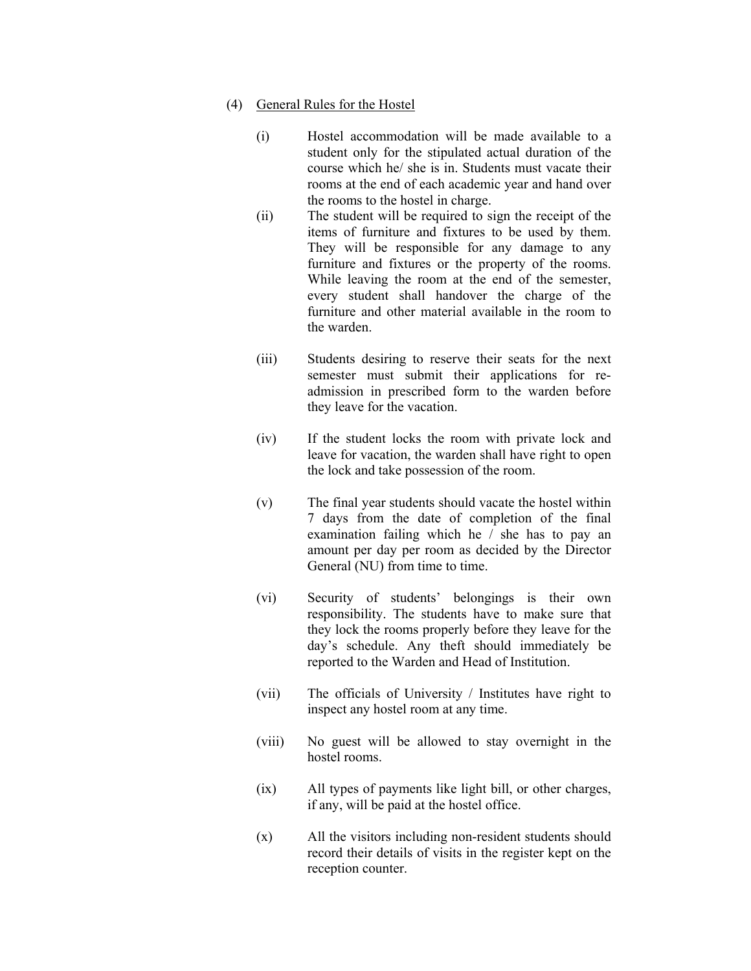- (4) General Rules for the Hostel
	- (i) Hostel accommodation will be made available to a student only for the stipulated actual duration of the course which he/ she is in. Students must vacate their rooms at the end of each academic year and hand over the rooms to the hostel in charge.
	- (ii) The student will be required to sign the receipt of the items of furniture and fixtures to be used by them. They will be responsible for any damage to any furniture and fixtures or the property of the rooms. While leaving the room at the end of the semester, every student shall handover the charge of the furniture and other material available in the room to the warden.
	- (iii) Students desiring to reserve their seats for the next semester must submit their applications for readmission in prescribed form to the warden before they leave for the vacation.
	- (iv) If the student locks the room with private lock and leave for vacation, the warden shall have right to open the lock and take possession of the room.
	- (v) The final year students should vacate the hostel within 7 days from the date of completion of the final examination failing which he / she has to pay an amount per day per room as decided by the Director General (NU) from time to time.
	- (vi) Security of students' belongings is their own responsibility. The students have to make sure that they lock the rooms properly before they leave for the day's schedule. Any theft should immediately be reported to the Warden and Head of Institution.
	- (vii) The officials of University / Institutes have right to inspect any hostel room at any time.
	- (viii) No guest will be allowed to stay overnight in the hostel rooms.
	- (ix) All types of payments like light bill, or other charges, if any, will be paid at the hostel office.
	- (x) All the visitors including non-resident students should record their details of visits in the register kept on the reception counter.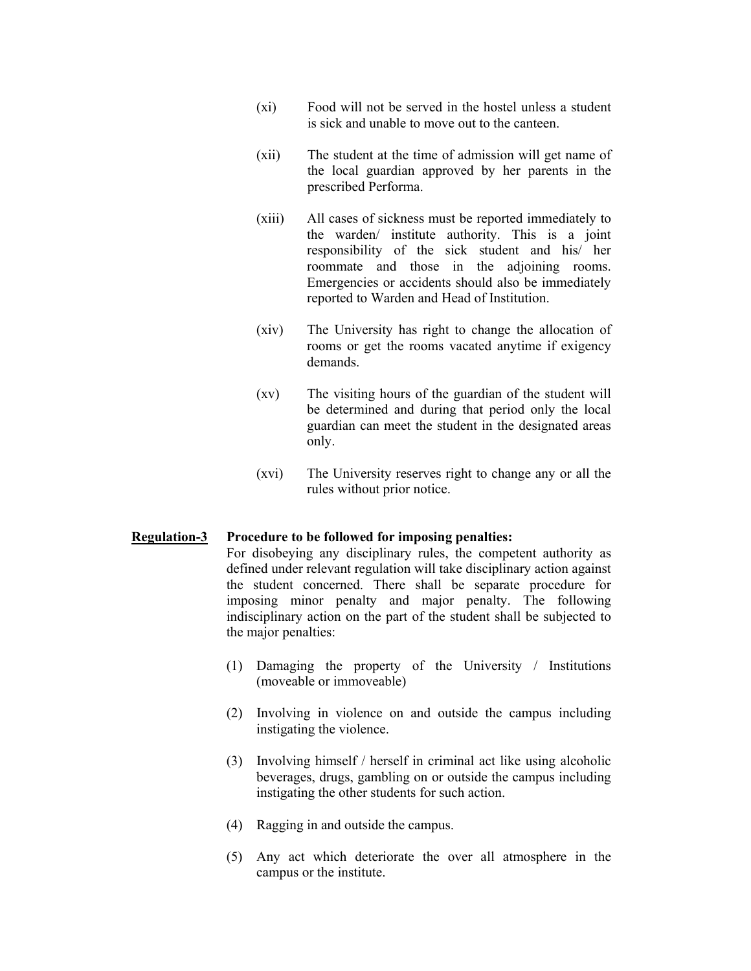- (xi) Food will not be served in the hostel unless a student is sick and unable to move out to the canteen.
- (xii) The student at the time of admission will get name of the local guardian approved by her parents in the prescribed Performa.
- (xiii) All cases of sickness must be reported immediately to the warden/ institute authority. This is a joint responsibility of the sick student and his/ her roommate and those in the adjoining rooms. Emergencies or accidents should also be immediately reported to Warden and Head of Institution.
- (xiv) The University has right to change the allocation of rooms or get the rooms vacated anytime if exigency demands.
- (xv) The visiting hours of the guardian of the student will be determined and during that period only the local guardian can meet the student in the designated areas only.
- (xvi) The University reserves right to change any or all the rules without prior notice.

#### **Regulation-3 Procedure to be followed for imposing penalties:**

 For disobeying any disciplinary rules, the competent authority as defined under relevant regulation will take disciplinary action against the student concerned. There shall be separate procedure for imposing minor penalty and major penalty. The following indisciplinary action on the part of the student shall be subjected to the major penalties:

- (1) Damaging the property of the University / Institutions (moveable or immoveable)
- (2) Involving in violence on and outside the campus including instigating the violence.
- (3) Involving himself / herself in criminal act like using alcoholic beverages, drugs, gambling on or outside the campus including instigating the other students for such action.
- (4) Ragging in and outside the campus.
- (5) Any act which deteriorate the over all atmosphere in the campus or the institute.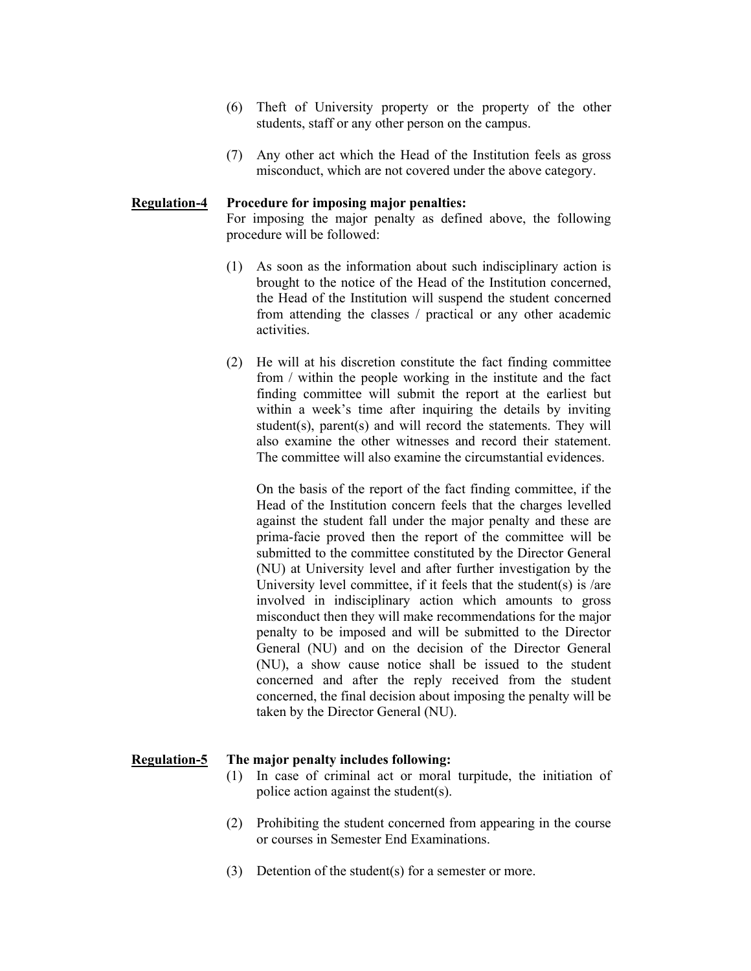- (6) Theft of University property or the property of the other students, staff or any other person on the campus.
- (7) Any other act which the Head of the Institution feels as gross misconduct, which are not covered under the above category.

#### **Regulation-4 Procedure for imposing major penalties:**

 For imposing the major penalty as defined above, the following procedure will be followed:

- (1) As soon as the information about such indisciplinary action is brought to the notice of the Head of the Institution concerned, the Head of the Institution will suspend the student concerned from attending the classes / practical or any other academic activities.
- (2) He will at his discretion constitute the fact finding committee from / within the people working in the institute and the fact finding committee will submit the report at the earliest but within a week's time after inquiring the details by inviting student(s), parent(s) and will record the statements. They will also examine the other witnesses and record their statement. The committee will also examine the circumstantial evidences.

On the basis of the report of the fact finding committee, if the Head of the Institution concern feels that the charges levelled against the student fall under the major penalty and these are prima-facie proved then the report of the committee will be submitted to the committee constituted by the Director General (NU) at University level and after further investigation by the University level committee, if it feels that the student(s) is /are involved in indisciplinary action which amounts to gross misconduct then they will make recommendations for the major penalty to be imposed and will be submitted to the Director General (NU) and on the decision of the Director General (NU), a show cause notice shall be issued to the student concerned and after the reply received from the student concerned, the final decision about imposing the penalty will be taken by the Director General (NU).

#### **Regulation-5 The major penalty includes following:**

- (1) In case of criminal act or moral turpitude, the initiation of police action against the student(s).
- (2) Prohibiting the student concerned from appearing in the course or courses in Semester End Examinations.
- (3) Detention of the student(s) for a semester or more.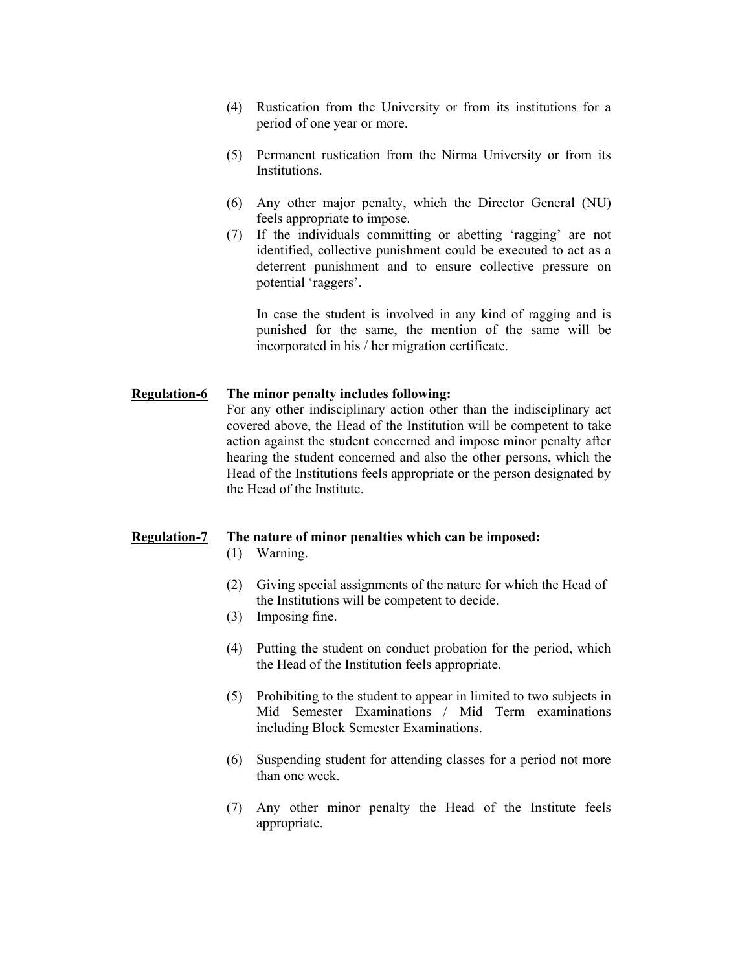- (4) Rustication from the University or from its institutions for a period of one year or more.
- (5) Permanent rustication from the Nirma University or from its Institutions.
- (6) Any other major penalty, which the Director General (NU) feels appropriate to impose.
- (7) If the individuals committing or abetting 'ragging' are not identified, collective punishment could be executed to act as a deterrent punishment and to ensure collective pressure on potential 'raggers'.

In case the student is involved in any kind of ragging and is punished for the same, the mention of the same will be incorporated in his / her migration certificate.

#### **Regulation-6 The minor penalty includes following:**

 For any other indisciplinary action other than the indisciplinary act covered above, the Head of the Institution will be competent to take action against the student concerned and impose minor penalty after hearing the student concerned and also the other persons, which the Head of the Institutions feels appropriate or the person designated by the Head of the Institute.

#### **Regulation-7 The nature of minor penalties which can be imposed:**

- (1) Warning.
- (2) Giving special assignments of the nature for which the Head of the Institutions will be competent to decide.
- (3) Imposing fine.
- (4) Putting the student on conduct probation for the period, which the Head of the Institution feels appropriate.
- (5) Prohibiting to the student to appear in limited to two subjects in Mid Semester Examinations / Mid Term examinations including Block Semester Examinations.
- (6) Suspending student for attending classes for a period not more than one week.
- (7) Any other minor penalty the Head of the Institute feels appropriate.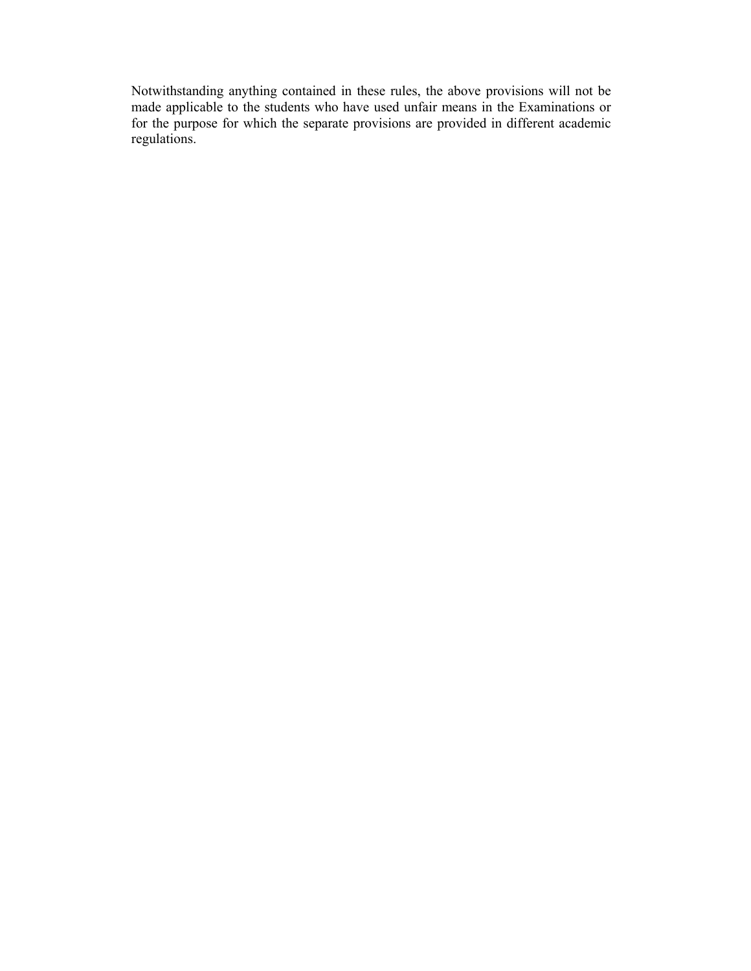Notwithstanding anything contained in these rules, the above provisions will not be made applicable to the students who have used unfair means in the Examinations or for the purpose for which the separate provisions are provided in different academic regulations.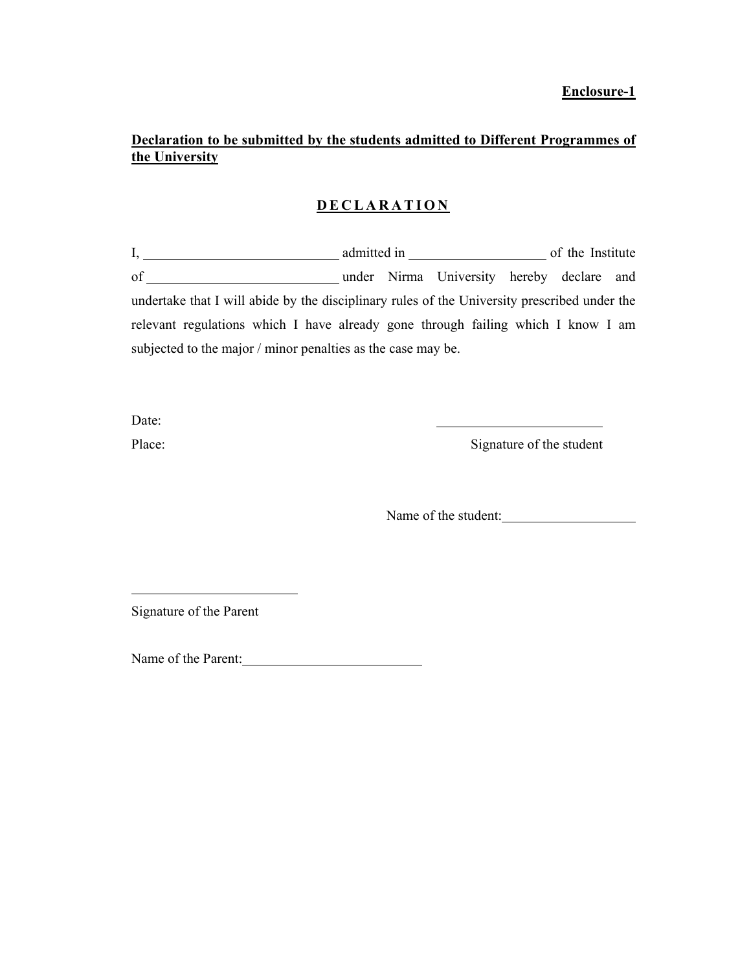### **Enclosure-1**

# **Declaration to be submitted by the students admitted to Different Programmes of the University**

## **DECLARATION**

I, admitted in of the Institute of under Nirma University hereby declare and undertake that I will abide by the disciplinary rules of the University prescribed under the relevant regulations which I have already gone through failing which I know I am subjected to the major / minor penalties as the case may be.

Date:

 $\overline{a}$ 

Place: Signature of the student

Name of the student:

Signature of the Parent

Name of the Parent: